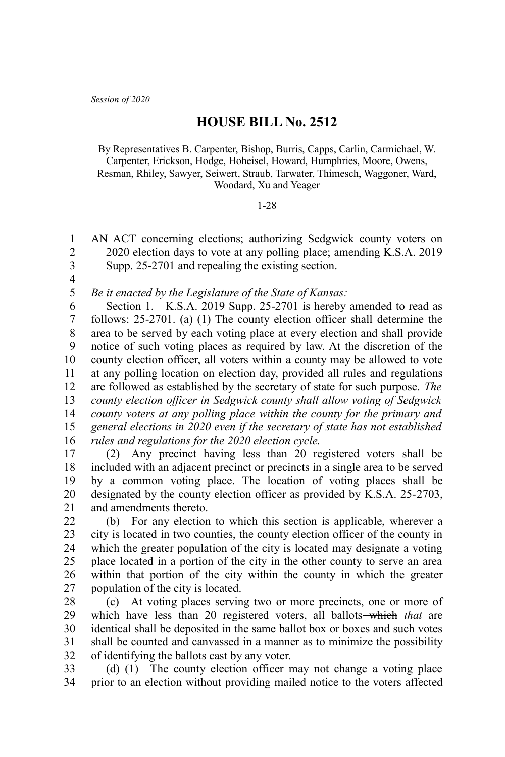*Session of 2020*

## **HOUSE BILL No. 2512**

By Representatives B. Carpenter, Bishop, Burris, Capps, Carlin, Carmichael, W. Carpenter, Erickson, Hodge, Hoheisel, Howard, Humphries, Moore, Owens, Resman, Rhiley, Sawyer, Seiwert, Straub, Tarwater, Thimesch, Waggoner, Ward, Woodard, Xu and Yeager

1-28

AN ACT concerning elections; authorizing Sedgwick county voters on 2020 election days to vote at any polling place; amending K.S.A. 2019 Supp. 25-2701 and repealing the existing section. 1  $\mathfrak{D}$ 3

4

*Be it enacted by the Legislature of the State of Kansas:* 5

Section 1. K.S.A. 2019 Supp. 25-2701 is hereby amended to read as follows: 25-2701. (a) (1) The county election officer shall determine the area to be served by each voting place at every election and shall provide notice of such voting places as required by law. At the discretion of the county election officer, all voters within a county may be allowed to vote at any polling location on election day, provided all rules and regulations are followed as established by the secretary of state for such purpose. *The county election officer in Sedgwick county shall allow voting of Sedgwick county voters at any polling place within the county for the primary and general elections in 2020 even if the secretary of state has not established rules and regulations for the 2020 election cycle.* 6 7 8 9 10 11 12 13 14 15 16

(2) Any precinct having less than 20 registered voters shall be included with an adjacent precinct or precincts in a single area to be served by a common voting place. The location of voting places shall be designated by the county election officer as provided by K.S.A. 25-2703, and amendments thereto. 17 18 19 20 21

(b) For any election to which this section is applicable, wherever a city is located in two counties, the county election officer of the county in which the greater population of the city is located may designate a voting place located in a portion of the city in the other county to serve an area within that portion of the city within the county in which the greater population of the city is located. 22 23 24 25 26 27

(c) At voting places serving two or more precincts, one or more of which have less than 20 registered voters, all ballots—which *that* are identical shall be deposited in the same ballot box or boxes and such votes shall be counted and canvassed in a manner as to minimize the possibility of identifying the ballots cast by any voter. 28 29 30 31 32

(d) (1) The county election officer may not change a voting place prior to an election without providing mailed notice to the voters affected 33 34